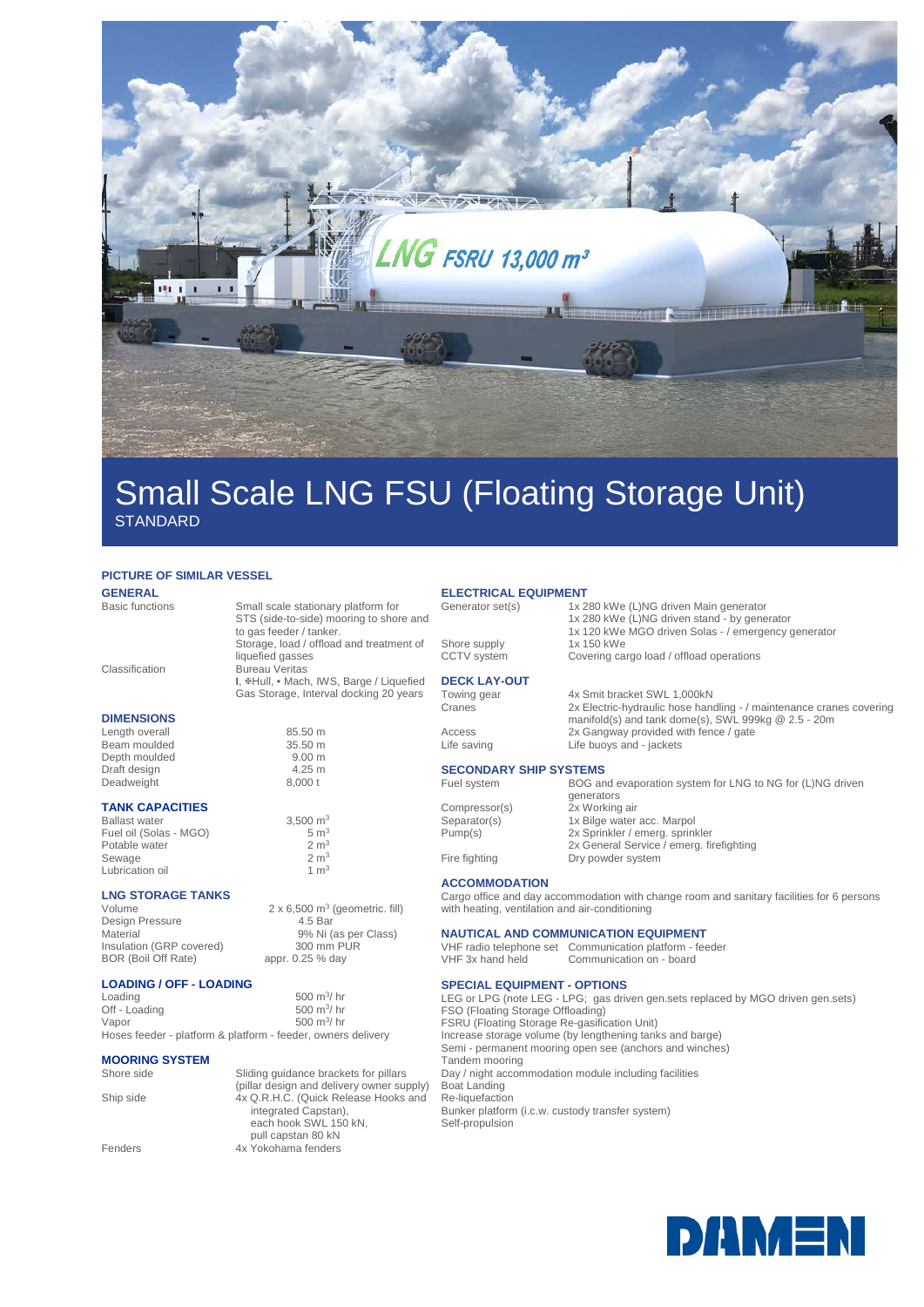

## Small Scale LNG FSU (Floating Storage Unit) STANDARD

#### **PICTURE OF SIMILAR VESSEL**

| <b>GENERAL</b>                                               |                                                                                                           | <b>ELECTRICAL EQUIPMENT</b>                                             |                                                                                                                                        |
|--------------------------------------------------------------|-----------------------------------------------------------------------------------------------------------|-------------------------------------------------------------------------|----------------------------------------------------------------------------------------------------------------------------------------|
| <b>Basic functions</b>                                       | Small scale stationary platform for<br>STS (side-to-side) mooring to shore and<br>to gas feeder / tanker. | Generator set(s)                                                        | 1x 280 kWe (L)NG driven Main generator<br>1x 280 kWe (L)NG driven stand - by generator<br>1x 120 kWe MGO driven Solas - / emergency qu |
|                                                              | Storage, load / offload and treatment of                                                                  | Shore supply                                                            | 1x 150 kWe                                                                                                                             |
|                                                              | liquefied gasses                                                                                          | CCTV system                                                             | Covering cargo load / offload operations                                                                                               |
| Classification                                               | <b>Bureau Veritas</b><br>I, #Hull, • Mach, IWS, Barge / Liquefied                                         | <b>DECK LAY-OUT</b>                                                     |                                                                                                                                        |
|                                                              | Gas Storage, Interval docking 20 years                                                                    | Towing gear                                                             | 4x Smit bracket SWL 1,000kN                                                                                                            |
|                                                              |                                                                                                           | Cranes                                                                  | 2x Electric-hydraulic hose handling - / maintena                                                                                       |
| <b>DIMENSIONS</b>                                            |                                                                                                           |                                                                         | manifold(s) and tank dome(s), SWL 999kg @ 2.                                                                                           |
| Length overall                                               | 85.50 m                                                                                                   | Access                                                                  | 2x Gangway provided with fence / gate                                                                                                  |
| Beam moulded                                                 | 35.50 m                                                                                                   | Life saving                                                             | Life buoys and - jackets                                                                                                               |
| Depth moulded                                                | 9.00 <sub>m</sub>                                                                                         |                                                                         |                                                                                                                                        |
| Draft design                                                 | 4.25 m                                                                                                    | <b>SECONDARY SHIP SYSTEMS</b>                                           |                                                                                                                                        |
| Deadweight                                                   | 8,000 t                                                                                                   | Fuel system                                                             | BOG and evaporation system for LNG to NG for<br>generators                                                                             |
| <b>TANK CAPACITIES</b>                                       |                                                                                                           | Compressor(s)                                                           | 2x Working air                                                                                                                         |
| <b>Ballast water</b>                                         | 3,500 $m3$                                                                                                | Separator(s)                                                            | 1x Bilge water acc. Marpol                                                                                                             |
| Fuel oil (Solas - MGO)                                       | $5 \text{ m}^3$                                                                                           | Pump(s)                                                                 | 2x Sprinkler / emerg. sprinkler                                                                                                        |
| Potable water                                                | 2 m <sup>3</sup>                                                                                          |                                                                         | 2x General Service / emerg. firefighting                                                                                               |
| Sewage                                                       | 2 m <sup>3</sup>                                                                                          | Fire fighting                                                           | Dry powder system                                                                                                                      |
| Lubrication oil                                              | $1 \text{ m}^3$                                                                                           |                                                                         |                                                                                                                                        |
|                                                              |                                                                                                           | <b>ACCOMMODATION</b>                                                    |                                                                                                                                        |
| <b>LNG STORAGE TANKS</b>                                     |                                                                                                           | Cargo office and day accommodation with change room and sanitary facili |                                                                                                                                        |
| Volume<br>Design Pressure                                    | $2 \times 6,500$ m <sup>3</sup> (geometric. fill)<br>4.5 Bar                                              | with heating, ventilation and air-conditioning                          |                                                                                                                                        |
| Material                                                     | 9% Ni (as per Class)                                                                                      | <b>NAUTICAL AND COMMUNICATION EQUIPMENT</b>                             |                                                                                                                                        |
| Insulation (GRP covered)                                     | 300 mm PUR                                                                                                |                                                                         | VHF radio telephone set Communication platform - feeder                                                                                |
| BOR (Boil Off Rate)                                          | appr. 0.25 % day                                                                                          | VHF 3x hand held                                                        | Communication on - board                                                                                                               |
| <b>LOADING / OFF - LOADING</b>                               |                                                                                                           | <b>SPECIAL EQUIPMENT - OPTIONS</b>                                      |                                                                                                                                        |
| Loading                                                      | 500 $\rm m^3$ / hr                                                                                        |                                                                         | LEG or LPG (note LEG - LPG; gas driven gen.sets replaced by MGO drive                                                                  |
| Off - Loading                                                | 500 m <sup>3</sup> / hr                                                                                   | FSO (Floating Storage Offloading)                                       |                                                                                                                                        |
| Vapor                                                        | 500 $m^3$ / hr                                                                                            | FSRU (Floating Storage Re-gasification Unit)                            |                                                                                                                                        |
| Hoses feeder - platform & platform - feeder, owners delivery |                                                                                                           | Increase storage volume (by lengthening tanks and barge)                |                                                                                                                                        |
|                                                              |                                                                                                           |                                                                         | Semi - permanent mooring open see (anchors and winches)                                                                                |
| <b>MOORING SYSTEM</b>                                        |                                                                                                           | Tandem mooring                                                          |                                                                                                                                        |

Shore side Sliding guidance brackets for pillars (pillar design and delivery owner supply) Ship side 4x Q.R.H.C. (Quick Release Hooks and integrated Capstan), each hook SWL 150 kN, pull capstan 80 kN Fenders **4x Yokohama fenders** 

| 1x 280 kWe (L)NG driven Main generator              |
|-----------------------------------------------------|
| 1x 280 kWe (L)NG driven stand - by generator        |
| 1x 120 kWe MGO driven Solas - / emergency generator |
| 1x 150 kWe                                          |
| Covering cargo load / offload operations            |
|                                                     |

# nce cranes covering  $.5 - 20m$

(L)NG driven

ities for 6 persons

en gen.sets) Tandem mooring Day / night accommodation module including facilities Boat Landing Re-liquefaction Bunker platform (i.c.w. custody transfer system) Self-propulsion